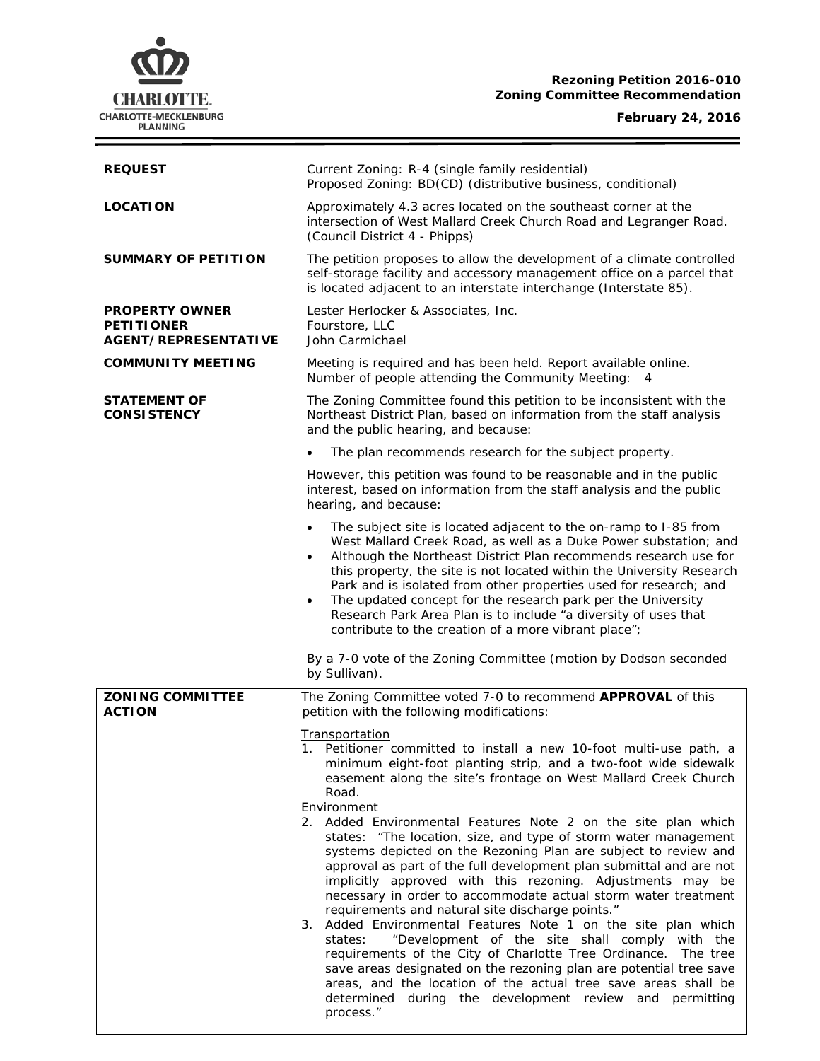## **Rezoning Petition 2016-010 Zoning Committee Recommendation**

# **CHARLOTTE.** CHARLOTTE-MECKLENBURG<br>PLANNING

÷

| <b>REQUEST</b>                                                            | Current Zoning: R-4 (single family residential)<br>Proposed Zoning: BD(CD) (distributive business, conditional)                                                                                                                                                                                                                                                                                                                                                                                                                                                                                                                                                                                                                                                                                                                                                                                                                                                                                                                                                                                                                      |  |
|---------------------------------------------------------------------------|--------------------------------------------------------------------------------------------------------------------------------------------------------------------------------------------------------------------------------------------------------------------------------------------------------------------------------------------------------------------------------------------------------------------------------------------------------------------------------------------------------------------------------------------------------------------------------------------------------------------------------------------------------------------------------------------------------------------------------------------------------------------------------------------------------------------------------------------------------------------------------------------------------------------------------------------------------------------------------------------------------------------------------------------------------------------------------------------------------------------------------------|--|
| <b>LOCATION</b>                                                           | Approximately 4.3 acres located on the southeast corner at the<br>intersection of West Mallard Creek Church Road and Legranger Road.<br>(Council District 4 - Phipps)                                                                                                                                                                                                                                                                                                                                                                                                                                                                                                                                                                                                                                                                                                                                                                                                                                                                                                                                                                |  |
| <b>SUMMARY OF PETITION</b>                                                | The petition proposes to allow the development of a climate controlled<br>self-storage facility and accessory management office on a parcel that<br>is located adjacent to an interstate interchange (Interstate 85).                                                                                                                                                                                                                                                                                                                                                                                                                                                                                                                                                                                                                                                                                                                                                                                                                                                                                                                |  |
| <b>PROPERTY OWNER</b><br><b>PETITIONER</b><br><b>AGENT/REPRESENTATIVE</b> | Lester Herlocker & Associates, Inc.<br>Fourstore, LLC<br>John Carmichael                                                                                                                                                                                                                                                                                                                                                                                                                                                                                                                                                                                                                                                                                                                                                                                                                                                                                                                                                                                                                                                             |  |
| <b>COMMUNITY MEETING</b>                                                  | Meeting is required and has been held. Report available online.<br>Number of people attending the Community Meeting:<br>- 4                                                                                                                                                                                                                                                                                                                                                                                                                                                                                                                                                                                                                                                                                                                                                                                                                                                                                                                                                                                                          |  |
| STATEMENT OF<br><b>CONSISTENCY</b>                                        | The Zoning Committee found this petition to be inconsistent with the<br>Northeast District Plan, based on information from the staff analysis<br>and the public hearing, and because:                                                                                                                                                                                                                                                                                                                                                                                                                                                                                                                                                                                                                                                                                                                                                                                                                                                                                                                                                |  |
|                                                                           | The plan recommends research for the subject property.                                                                                                                                                                                                                                                                                                                                                                                                                                                                                                                                                                                                                                                                                                                                                                                                                                                                                                                                                                                                                                                                               |  |
|                                                                           | However, this petition was found to be reasonable and in the public<br>interest, based on information from the staff analysis and the public<br>hearing, and because:                                                                                                                                                                                                                                                                                                                                                                                                                                                                                                                                                                                                                                                                                                                                                                                                                                                                                                                                                                |  |
|                                                                           | The subject site is located adjacent to the on-ramp to I-85 from<br>$\bullet$<br>West Mallard Creek Road, as well as a Duke Power substation; and<br>Although the Northeast District Plan recommends research use for<br>$\bullet$<br>this property, the site is not located within the University Research<br>Park and is isolated from other properties used for research; and<br>The updated concept for the research park per the University<br>Research Park Area Plan is to include "a diversity of uses that<br>contribute to the creation of a more vibrant place";                                                                                                                                                                                                                                                                                                                                                                                                                                                                                                                                                          |  |
|                                                                           | By a 7-0 vote of the Zoning Committee (motion by Dodson seconded<br>by Sullivan).                                                                                                                                                                                                                                                                                                                                                                                                                                                                                                                                                                                                                                                                                                                                                                                                                                                                                                                                                                                                                                                    |  |
| <b>ZONING COMMITTEE</b><br><b>ACTION</b>                                  | The Zoning Committee voted 7-0 to recommend APPROVAL of this<br>petition with the following modifications:                                                                                                                                                                                                                                                                                                                                                                                                                                                                                                                                                                                                                                                                                                                                                                                                                                                                                                                                                                                                                           |  |
|                                                                           | Transportation<br>1. Petitioner committed to install a new 10-foot multi-use path, a<br>minimum eight-foot planting strip, and a two-foot wide sidewalk<br>easement along the site's frontage on West Mallard Creek Church<br>Road.<br>Environment<br>2. Added Environmental Features Note 2 on the site plan which<br>states: "The location, size, and type of storm water management<br>systems depicted on the Rezoning Plan are subject to review and<br>approval as part of the full development plan submittal and are not<br>implicitly approved with this rezoning. Adjustments may be<br>necessary in order to accommodate actual storm water treatment<br>requirements and natural site discharge points."<br>3. Added Environmental Features Note 1 on the site plan which<br>"Development of the site shall comply with the<br>states:<br>requirements of the City of Charlotte Tree Ordinance. The tree<br>save areas designated on the rezoning plan are potential tree save<br>areas, and the location of the actual tree save areas shall be<br>determined during the development review and permitting<br>process." |  |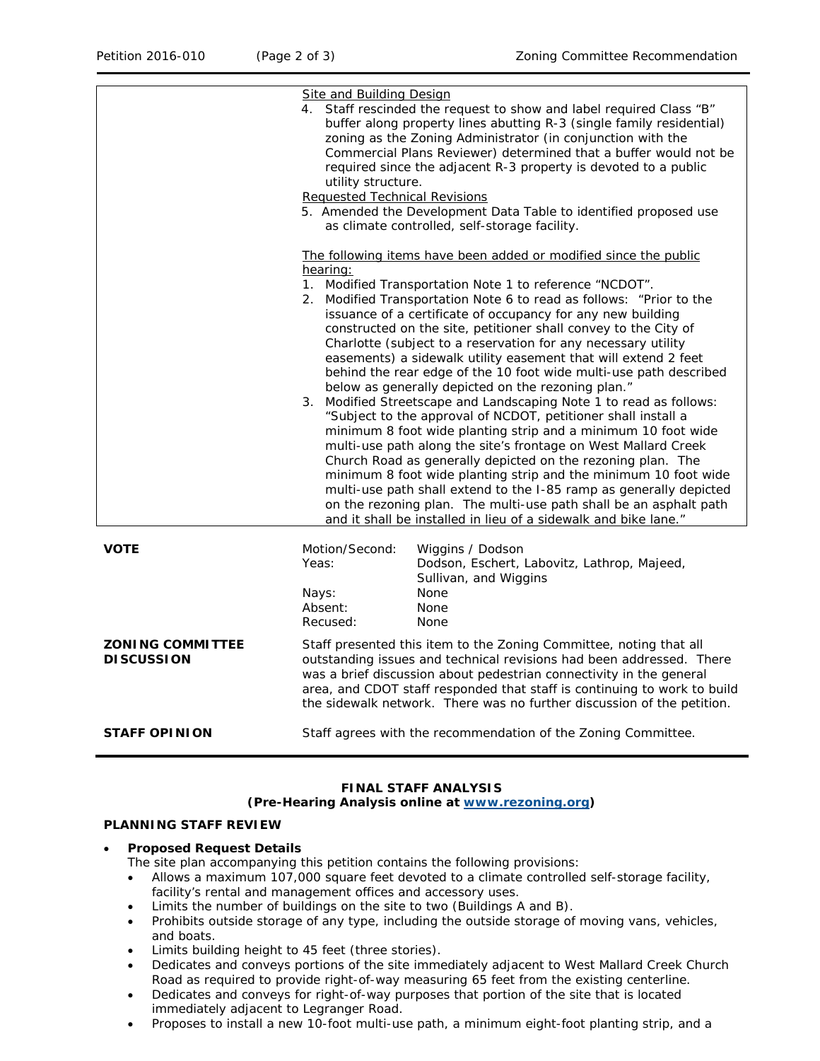|                                              | <b>Site and Building Design</b><br>utility structure.<br><b>Requested Technical Revisions</b>                                                                                                                                                                                                                                                                                                                                                                                                                                                                                                                                                                                                                                                                                                                                                                                                                                                                                                                                                                                                                                                                                                                                            | 4. Staff rescinded the request to show and label required Class "B"<br>buffer along property lines abutting R-3 (single family residential)<br>zoning as the Zoning Administrator (in conjunction with the<br>Commercial Plans Reviewer) determined that a buffer would not be<br>required since the adjacent R-3 property is devoted to a public<br>5. Amended the Development Data Table to identified proposed use<br>as climate controlled, self-storage facility. |
|----------------------------------------------|------------------------------------------------------------------------------------------------------------------------------------------------------------------------------------------------------------------------------------------------------------------------------------------------------------------------------------------------------------------------------------------------------------------------------------------------------------------------------------------------------------------------------------------------------------------------------------------------------------------------------------------------------------------------------------------------------------------------------------------------------------------------------------------------------------------------------------------------------------------------------------------------------------------------------------------------------------------------------------------------------------------------------------------------------------------------------------------------------------------------------------------------------------------------------------------------------------------------------------------|------------------------------------------------------------------------------------------------------------------------------------------------------------------------------------------------------------------------------------------------------------------------------------------------------------------------------------------------------------------------------------------------------------------------------------------------------------------------|
|                                              | The following items have been added or modified since the public<br>hearing:<br>1. Modified Transportation Note 1 to reference "NCDOT".<br>2. Modified Transportation Note 6 to read as follows: "Prior to the<br>issuance of a certificate of occupancy for any new building<br>constructed on the site, petitioner shall convey to the City of<br>Charlotte (subject to a reservation for any necessary utility<br>easements) a sidewalk utility easement that will extend 2 feet<br>behind the rear edge of the 10 foot wide multi-use path described<br>below as generally depicted on the rezoning plan."<br>3. Modified Streetscape and Landscaping Note 1 to read as follows:<br>"Subject to the approval of NCDOT, petitioner shall install a<br>minimum 8 foot wide planting strip and a minimum 10 foot wide<br>multi-use path along the site's frontage on West Mallard Creek<br>Church Road as generally depicted on the rezoning plan. The<br>minimum 8 foot wide planting strip and the minimum 10 foot wide<br>multi-use path shall extend to the I-85 ramp as generally depicted<br>on the rezoning plan. The multi-use path shall be an asphalt path<br>and it shall be installed in lieu of a sidewalk and bike lane." |                                                                                                                                                                                                                                                                                                                                                                                                                                                                        |
| <b>VOTE</b>                                  | Motion/Second:<br>Yeas:<br>Nays:<br>Absent:<br>Recused:                                                                                                                                                                                                                                                                                                                                                                                                                                                                                                                                                                                                                                                                                                                                                                                                                                                                                                                                                                                                                                                                                                                                                                                  | Wiggins / Dodson<br>Dodson, Eschert, Labovitz, Lathrop, Majeed,<br>Sullivan, and Wiggins<br>None<br>None<br>None                                                                                                                                                                                                                                                                                                                                                       |
| <b>ZONING COMMITTEE</b><br><b>DISCUSSION</b> | Staff presented this item to the Zoning Committee, noting that all<br>outstanding issues and technical revisions had been addressed. There<br>was a brief discussion about pedestrian connectivity in the general<br>area, and CDOT staff responded that staff is continuing to work to build<br>the sidewalk network. There was no further discussion of the petition.                                                                                                                                                                                                                                                                                                                                                                                                                                                                                                                                                                                                                                                                                                                                                                                                                                                                  |                                                                                                                                                                                                                                                                                                                                                                                                                                                                        |
| <b>STAFF OPINION</b>                         | Staff agrees with the recommendation of the Zoning Committee.                                                                                                                                                                                                                                                                                                                                                                                                                                                                                                                                                                                                                                                                                                                                                                                                                                                                                                                                                                                                                                                                                                                                                                            |                                                                                                                                                                                                                                                                                                                                                                                                                                                                        |

#### **FINAL STAFF ANALYSIS (Pre-Hearing Analysis online at [www.rezoning.org\)](http://www.rezoning.org/)**

## **PLANNING STAFF REVIEW**

#### • **Proposed Request Details**

The site plan accompanying this petition contains the following provisions:

- Allows a maximum 107,000 square feet devoted to a climate controlled self-storage facility, facility's rental and management offices and accessory uses.
- Limits the number of buildings on the site to two (Buildings A and B).
- Prohibits outside storage of any type, including the outside storage of moving vans, vehicles, and boats.
- Limits building height to 45 feet (three stories).
- Dedicates and conveys portions of the site immediately adjacent to West Mallard Creek Church Road as required to provide right-of-way measuring 65 feet from the existing centerline.
- Dedicates and conveys for right-of-way purposes that portion of the site that is located immediately adjacent to Legranger Road.
- Proposes to install a new 10-foot multi-use path, a minimum eight-foot planting strip, and a